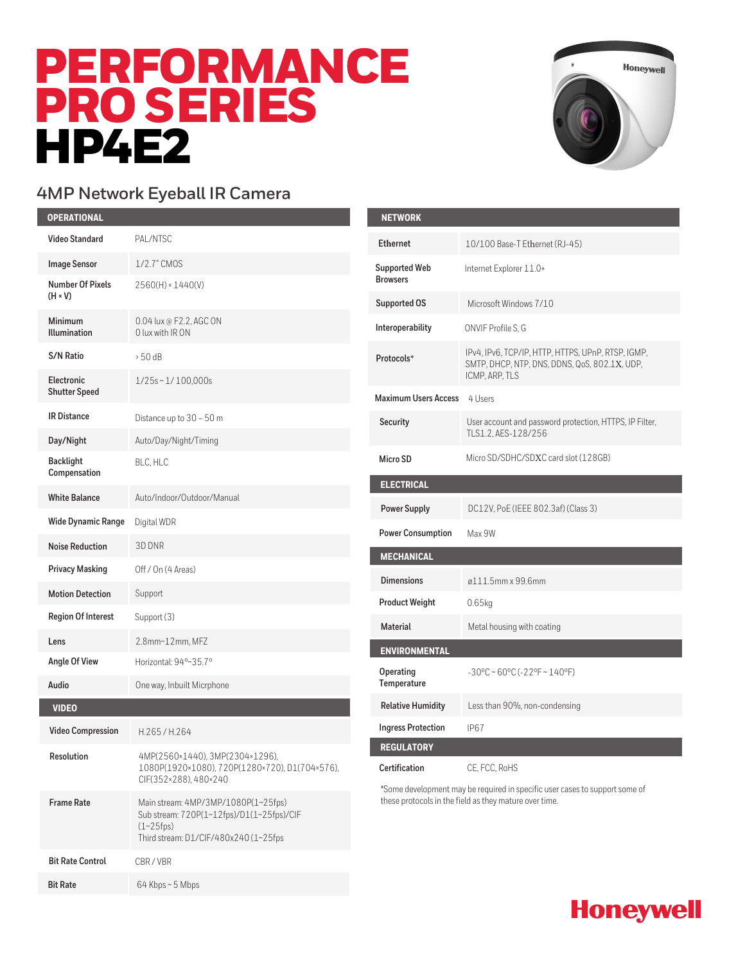# PERFORMANCE PRO SERIES **HP4E2**



**Honeywell** 

## **4MP Network Eyeball IR Camera**

| <b>OPERATIONAL</b>                        |                                                                                                                                           | <b>NETWORK</b>                                                                                                                        |                                                                                                     |
|-------------------------------------------|-------------------------------------------------------------------------------------------------------------------------------------------|---------------------------------------------------------------------------------------------------------------------------------------|-----------------------------------------------------------------------------------------------------|
| <b>Video Standard</b>                     | PAL/NTSC                                                                                                                                  | <b>Ethernet</b>                                                                                                                       | 10/100 Base-T Ethernet (RJ-45)                                                                      |
| <b>Image Sensor</b>                       | 1/2.7" CMOS                                                                                                                               | <b>Supported Web</b>                                                                                                                  | Internet Explorer 11.0+                                                                             |
| <b>Number Of Pixels</b><br>$(H \times V)$ | 2560(H) × 1440(V)                                                                                                                         | <b>Browsers</b>                                                                                                                       |                                                                                                     |
| Minimum                                   | 0.04 lux @ F2.2, AGC ON                                                                                                                   | <b>Supported OS</b>                                                                                                                   | Microsoft Windows 7/10                                                                              |
| <b>Illumination</b>                       | 0 lux with IR ON                                                                                                                          | Interoperability                                                                                                                      | ONVIF Profile S, G                                                                                  |
| <b>S/N Ratio</b>                          | > 50 dB                                                                                                                                   | Protocols*                                                                                                                            | IPv4, IPv6, TCP/IP, HTTP, HTTPS, UPnP, RTSP, IGMP,<br>SMTP, DHCP, NTP, DNS, DDNS, QoS, 802.1X, UDP, |
| Electronic<br><b>Shutter Speed</b>        | $1/25s \sim 1/100,000s$                                                                                                                   | <b>Maximum Users Access</b>                                                                                                           | ICMP, ARP, TLS<br>4 Users                                                                           |
| <b>IR Distance</b>                        | Distance up to 30 - 50 m                                                                                                                  |                                                                                                                                       |                                                                                                     |
| Day/Night                                 | Auto/Day/Night/Timing                                                                                                                     | Security                                                                                                                              | User account and password protection, HTTPS, IP Filter,<br>TLS1.2, AES-128/256                      |
| <b>Backlight</b><br>Compensation          | BLC, HLC                                                                                                                                  | Micro SD                                                                                                                              | Micro SD/SDHC/SDXC card slot (128GB)                                                                |
| <b>White Balance</b>                      | Auto/Indoor/Outdoor/Manual                                                                                                                | <b>ELECTRICAL</b>                                                                                                                     |                                                                                                     |
| <b>Wide Dynamic Range</b>                 | Digital WDR                                                                                                                               | <b>Power Supply</b>                                                                                                                   | DC12V, PoE (IEEE 802.3af) (Class 3)                                                                 |
| <b>Noise Reduction</b>                    | 3D DNR                                                                                                                                    | <b>Power Consumption</b>                                                                                                              | Max 9W                                                                                              |
|                                           |                                                                                                                                           | <b>MECHANICAL</b>                                                                                                                     |                                                                                                     |
| <b>Privacy Masking</b>                    | Off / On (4 Areas)                                                                                                                        | <b>Dimensions</b>                                                                                                                     | ø111.5mm x 99.6mm                                                                                   |
| <b>Motion Detection</b>                   | Support                                                                                                                                   | <b>Product Weight</b>                                                                                                                 | 0.65kg                                                                                              |
| <b>Region Of Interest</b>                 | Support (3)                                                                                                                               | <b>Material</b>                                                                                                                       | Metal housing with coating                                                                          |
| Lens                                      | 2.8mm~12mm, MFZ                                                                                                                           | <b>ENVIRONMENTAL</b>                                                                                                                  |                                                                                                     |
| Angle Of View                             | Horizontal: 94°~35.7°                                                                                                                     | Operating                                                                                                                             | $-30^{\circ}$ C ~ 60°C (-22°F ~ 140°F)                                                              |
| Audio                                     | One way, Inbuilt Micrphone                                                                                                                | Temperature                                                                                                                           |                                                                                                     |
| <b>VIDEO</b>                              |                                                                                                                                           | <b>Relative Humidity</b>                                                                                                              | Less than 90%, non-condensing                                                                       |
| <b>Video Compression</b>                  | H.265/H.264                                                                                                                               | <b>Ingress Protection</b>                                                                                                             | IP <sub>67</sub>                                                                                    |
| Resolution                                | 4MP(2560×1440), 3MP(2304×1296),                                                                                                           | <b>REGULATORY</b>                                                                                                                     |                                                                                                     |
|                                           | 1080P(1920×1080), 720P(1280×720), D1(704×576),<br>CIF(352×288), 480×240                                                                   | Certification                                                                                                                         | CE, FCC, RoHS                                                                                       |
| <b>Frame Rate</b>                         | Main stream: 4MP/3MP/1080P(1~25fps)<br>Sub stream: 720P(1~12fps)/D1(1~25fps)/CIF<br>$(1~25$ fps)<br>Third stream: D1/CIF/480x240 (1~25fps | *Some development may be required in specific user cases to support some of<br>these protocols in the field as they mature over time. |                                                                                                     |
| <b>Bit Rate Control</b>                   | CBR/VBR                                                                                                                                   |                                                                                                                                       |                                                                                                     |
| <b>Bit Rate</b>                           | 64 Kbps~5 Mbps                                                                                                                            |                                                                                                                                       |                                                                                                     |